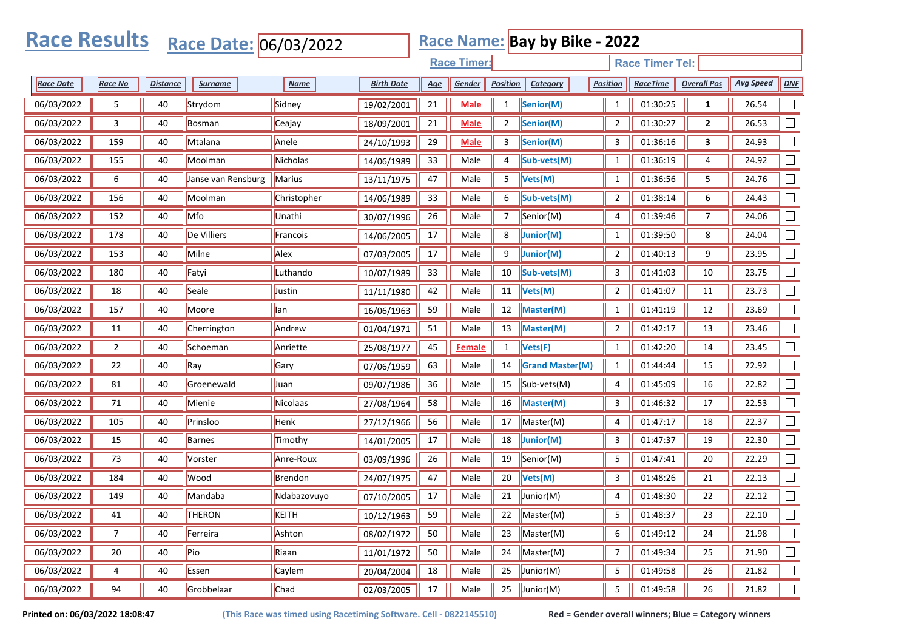| <b>Race Results</b><br><b>Race Name: Bay by Bike - 2022</b><br>Race Date: 06/03/2022 |                |                 |                    |             |                   |            |               |                 |                        |                        |                    |                    |                  |        |
|--------------------------------------------------------------------------------------|----------------|-----------------|--------------------|-------------|-------------------|------------|---------------|-----------------|------------------------|------------------------|--------------------|--------------------|------------------|--------|
| <b>Race Timer:</b>                                                                   |                |                 |                    |             |                   |            |               |                 |                        | <b>Race Timer Tel:</b> |                    |                    |                  |        |
| <b>Race Date</b>                                                                     | <b>Race No</b> | <b>Distance</b> | <b>Surname</b>     | Name        | <b>Birth Date</b> | <u>Age</u> | Gender        | <b>Position</b> | Category               | <b>Position</b>        | <b>RaceTime</b>    | <b>Overall Pos</b> | <b>Avg Speed</b> | DNF    |
| 06/03/2022                                                                           | 5              | 40              | Strydom            | Sidney      | 19/02/2001        | 21         | <b>Male</b>   | $\mathbf{1}$    | Senior(M)              | $\mathbf{1}$           | 01:30:25           | 1                  | 26.54            |        |
| 06/03/2022                                                                           | 3              | 40              | <b>Bosman</b>      | Ceajay      | 18/09/2001        | 21         | Male          | $\overline{2}$  | Senior(M)              | $\overline{2}$         | 01:30:27           | $\overline{2}$     | 26.53            |        |
| 06/03/2022                                                                           | 159            | 40              | Mtalana            | Anele       | 24/10/1993        | 29         | <b>Male</b>   | 3               | Senior(M)              | 3                      | 01:36:16           | 3                  | 24.93            |        |
| 06/03/2022                                                                           | 155            | 40              | Moolman            | Nicholas    | 14/06/1989        | 33         | Male          | 4               | Sub-vets(M)            | $\mathbf{1}$           | 01:36:19           | 4                  | 24.92            |        |
| 06/03/2022                                                                           | 6              | 40              | Janse van Rensburg | Marius      | 13/11/1975        | 47         | Male          | 5               | Vets(M)                | $\mathbf{1}$           | 01:36:56           | 5                  | 24.76            |        |
| 06/03/2022                                                                           | 156            | 40              | Moolman            | Christopher | 14/06/1989        | 33         | Male          | 6               | Sub-vets(M)            | 2                      | 01:38:14           | 6                  | 24.43            |        |
| 06/03/2022                                                                           | 152            | 40              | Mfo                | Unathi      | 30/07/1996        | 26         | Male          | 7               | Senior(M)              | 4                      | 01:39:46           | 7                  | 24.06            |        |
| 06/03/2022                                                                           | 178            | 40              | De Villiers        | Francois    | 14/06/2005        | 17         | Male          | 8               | Junior(M)              | 1                      | 01:39:50           | 8                  | 24.04            |        |
| 06/03/2022                                                                           | 153            | 40              | Milne              | Alex        | 07/03/2005        | 17         | Male          | 9               | Junior(M)              | $\overline{2}$         | 01:40:13           | 9                  | 23.95            | $\Box$ |
| 06/03/2022                                                                           | 180            | 40              | Fatyi              | Luthando    | 10/07/1989        | 33         | Male          | 10              | Sub-vets(M)            | 3                      | 01:41:03           | 10                 | 23.75            |        |
| 06/03/2022                                                                           | 18             | 40              | Seale              | Justin      | 11/11/1980        | 42         | Male          | 11              | Vets(M)                | $\overline{2}$         | 01:41:07           | 11                 | 23.73            |        |
| 06/03/2022                                                                           | 157            | 40              | Moore              | lan         | 16/06/1963        | 59         | Male          | 12              | Master(M)              | $\mathbf{1}$           | 01:41:19           | 12                 | 23.69            |        |
| 06/03/2022                                                                           | 11             | 40              | Cherrington        | Andrew      | 01/04/1971        | 51         | Male          | 13              | Master(M)              | 2                      | 01:42:17           | 13                 | 23.46            |        |
| 06/03/2022                                                                           | $\overline{2}$ | 40              | Schoeman           | Anriette    | 25/08/1977        | 45         | <b>Female</b> | 1               | Vets(F)                | 1                      | 01:42:20           | 14                 | 23.45            |        |
| 06/03/2022                                                                           | 22             | 40              | Ray                | Gary        | 07/06/1959        | 63         | Male          | 14              | <b>Grand Master(M)</b> | 1                      | 01:44:44           | 15                 | 22.92            |        |
| 06/03/2022                                                                           | 81             | 40              | Groenewald         | Juan        | 09/07/1986        | 36         | Male          | 15              | Sub-vets(M)            | 4                      | 01:45:09           | 16                 | 22.82            |        |
| 06/03/2022                                                                           | 71             | 40              | Mienie             | Nicolaas    | 27/08/1964        | 58         | Male          | 16              | Master(M)              | 3                      | 01:46:32           | 17                 | 22.53            |        |
| 06/03/2022                                                                           | 105            | 40              | Prinsloo           | Henk        | 27/12/1966        | 56         | Male          | 17              | Master(M)              | 4                      | 01:47:17           | 18                 | 22.37            |        |
| 06/03/2022                                                                           | 15             | 40              | <b>Barnes</b>      | Timothy     | 14/01/2005        | $17\,$     | Male          | 18              | Junior(M)              | 3                      | 01:47:37           | 19                 | 22.30            |        |
| 06/03/2022                                                                           | 73             | 40              | Vorster            | Anre-Roux   | 03/09/1996        | 26         | Male          | 19              | Senior(M)              | 5                      | 01:47:41           | 20                 | 22.29            |        |
| 06/03/2022                                                                           | 184            | 40              | Wood               | Brendon     | 24/07/1975        | 47         | Male          | 20              | Vets(M)                | 3                      | 01:48:26           | 21                 | 22.13            |        |
| 06/03/2022                                                                           | 149            | 40              | Mandaba            | Ndabazovuyo | 07/10/2005        | 17         | Male          | 21              | $\vert$ Junior(M)      | 4                      | 01:48:30           | 22                 | 22.12            |        |
| 06/03/2022                                                                           | 41             | 40              | THERON             | KEITH       | 10/12/1963        | 59         | Male          |                 | 22 Master(M)           | $\overline{5}$         | $\boxed{01:48:37}$ | 23                 | 22.10            | $\Box$ |
| 06/03/2022                                                                           | $\overline{7}$ | 40              | Ferreira           | Ashton      | 08/02/1972        | 50         | Male          | 23              | Master(M)              | 6                      | 01:49:12           | 24                 | 21.98            | $\Box$ |
| 06/03/2022                                                                           | 20             | 40              | Pio                | Riaan       | 11/01/1972        | 50         | Male          | 24              | Master(M)              | $\overline{7}$         | 01:49:34           | 25                 | 21.90            | $\Box$ |
| 06/03/2022                                                                           | 4              | 40              | Essen              | Caylem      | 20/04/2004        | 18         | Male          | 25              | $J$ unior(M)           | 5                      | 01:49:58           | 26                 | 21.82            | $\Box$ |
| 06/03/2022                                                                           | 94             | 40              | Grobbelaar         | Chad        | 02/03/2005        | $17\,$     | Male          | 25              | $J$ unior(M)           | 5                      | 01:49:58           | 26                 | 21.82            | $\Box$ |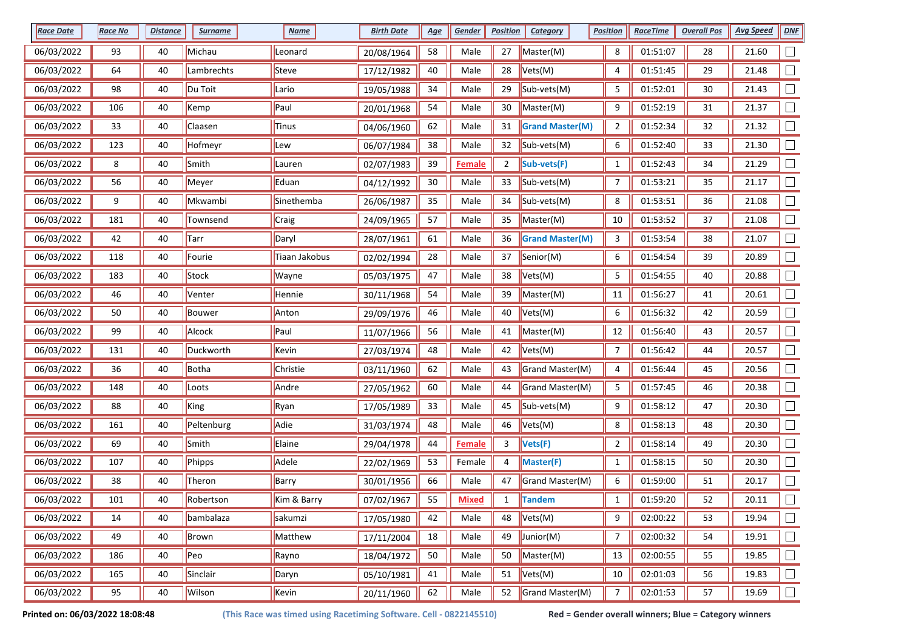| <b>Race Date</b> | <b>Race No</b> | <b>Distance</b> | <b>Surname</b> | <b>Name</b>   | <b>Birth Date</b> | <u>Age</u> | Gender        | <b>Position</b> | <b>Category</b>                        | <b>Position</b> | <b>RaceTime</b> | <b>Overall Pos</b> | <b>Avg Speed</b> | DNF    |
|------------------|----------------|-----------------|----------------|---------------|-------------------|------------|---------------|-----------------|----------------------------------------|-----------------|-----------------|--------------------|------------------|--------|
| 06/03/2022       | 93             | 40              | Michau         | Leonard       | 20/08/1964        | 58         | Male          | 27              | Master(M)                              | 8               | 01:51:07        | 28                 | 21.60            |        |
| 06/03/2022       | 64             | 40              | Lambrechts     | Steve         | 17/12/1982        | 40         | Male          | 28              | Vets(M)                                | 4               | 01:51:45        | 29                 | 21.48            |        |
| 06/03/2022       | 98             | 40              | Du Toit        | Lario         | 19/05/1988        | 34         | Male          | 29              | $\vert$ Sub-vets(M)                    | 5               | 01:52:01        | 30                 | 21.43            |        |
| 06/03/2022       | 106            | 40              | Kemp           | Paul          | 20/01/1968        | 54         | Male          | 30              | Master(M)                              | 9               | 01:52:19        | 31                 | 21.37            |        |
| 06/03/2022       | 33             | 40              | Claasen        | Tinus         | 04/06/1960        | 62         | Male          | 31              | <b>Grand Master(M)</b>                 | 2               | 01:52:34        | 32                 | 21.32            |        |
| 06/03/2022       | 123            | 40              | Hofmeyr        | Lew           | 06/07/1984        | 38         | Male          | 32              | $\mathsf{Sub\text{-}vets}(\mathsf{M})$ | 6               | 01:52:40        | 33                 | 21.30            |        |
| 06/03/2022       | 8              | 40              | Smith          | Lauren        | 02/07/1983        | 39         | <b>Female</b> | $\overline{2}$  | Sub-vets(F)                            | $\mathbf{1}$    | 01:52:43        | 34                 | 21.29            |        |
| 06/03/2022       | 56             | 40              | Meyer          | Eduan         | 04/12/1992        | $30\,$     | Male          | 33              | Sub-vets(M)                            | 7               | 01:53:21        | 35                 | 21.17            |        |
| 06/03/2022       | 9              | 40              | Mkwambi        | Sinethemba    | 26/06/1987        | 35         | Male          | 34              | Sub-vets(M)                            | 8               | 01:53:51        | 36                 | 21.08            |        |
| 06/03/2022       | 181            | 40              | Townsend       | Craig         | 24/09/1965        | 57         | Male          | 35              | Master(M)                              | 10              | 01:53:52        | 37                 | 21.08            |        |
| 06/03/2022       | 42             | 40              | Tarr           | Daryl         | 28/07/1961        | 61         | Male          | 36              | <b>Grand Master(M)</b>                 | 3               | 01:53:54        | 38                 | 21.07            |        |
| 06/03/2022       | 118            | 40              | Fourie         | Tiaan Jakobus | 02/02/1994        | 28         | Male          | 37              | Senior(M)                              | 6               | 01:54:54        | 39                 | 20.89            |        |
| 06/03/2022       | 183            | 40              | Stock          | Wayne         | 05/03/1975        | 47         | Male          | 38              | Vets(M)                                | 5               | 01:54:55        | 40                 | 20.88            |        |
| 06/03/2022       | 46             | 40              | Venter         | Hennie        | 30/11/1968        | 54         | Male          | 39              | Master(M)                              | 11              | 01:56:27        | 41                 | 20.61            |        |
| 06/03/2022       | 50             | 40              | Bouwer         | Anton         | 29/09/1976        | 46         | Male          | 40              | Vets(M)                                | 6               | 01:56:32        | 42                 | 20.59            |        |
| 06/03/2022       | 99             | 40              | Alcock         | Paul          | 11/07/1966        | 56         | Male          | 41              | Master(M)                              | 12              | 01:56:40        | 43                 | 20.57            |        |
| 06/03/2022       | 131            | 40              | Duckworth      | Kevin         | 27/03/1974        | 48         | Male          | 42              | Vets(M)                                | 7               | 01:56:42        | 44                 | 20.57            |        |
| 06/03/2022       | 36             | 40              | Botha          | Christie      | 03/11/1960        | 62         | Male          | 43              | Grand Master(M)                        | 4               | 01:56:44        | 45                 | 20.56            |        |
| 06/03/2022       | 148            | 40              | Loots          | Andre         | 27/05/1962        | 60         | Male          | 44              | Grand Master(M)                        | 5               | 01:57:45        | 46                 | 20.38            |        |
| 06/03/2022       | 88             | 40              | King           | Ryan          | 17/05/1989        | 33         | Male          | 45              | Sub-vets(M)                            | 9               | 01:58:12        | 47                 | 20.30            |        |
| 06/03/2022       | 161            | 40              | Peltenburg     | Adie          | 31/03/1974        | 48         | Male          | 46              | Vets(M)                                | 8               | 01:58:13        | 48                 | 20.30            |        |
| 06/03/2022       | 69             | 40              | Smith          | Elaine        | 29/04/1978        | 44         | <b>Female</b> | 3               | Vets(F)                                | $\mathbf{2}$    | 01:58:14        | 49                 | 20.30            |        |
| 06/03/2022       | 107            | 40              | Phipps         | Adele         | 22/02/1969        | 53         | Female        | 4               | Master(F)                              | $\mathbf{1}$    | 01:58:15        | 50                 | 20.30            |        |
| 06/03/2022       | 38             | 40              | Theron         | Barry         | 30/01/1956        | 66         | Male          | 47              | Grand Master(M)                        | 6               | 01:59:00        | 51                 | 20.17            |        |
| 06/03/2022       | 101            | 40              | Robertson      | Kim & Barry   | 07/02/1967        | 55         | <b>Mixed</b>  | $\mathbf{1}$    | <b>Tandem</b>                          | $\mathbf{1}$    | 01:59:20        | 52                 | 20.11            |        |
| 06/03/2022       | 14             | 40              | bambalaza      | sakumzi       | 17/05/1980        | 42         | Male          | 48              | $\blacktriangleright$ Vets(M)          | 9               | 02:00:22        | 53                 | 19.94            | $\Box$ |
| 06/03/2022       | 49             | 40              | Brown          | Matthew       | 17/11/2004        | 18         | Male          | 49              | $J$ unior(M)                           | 7               | 02:00:32        | 54                 | 19.91            | $\Box$ |
| 06/03/2022       | 186            | 40              | Peo            | Rayno         | 18/04/1972        | 50         | Male          | 50              | Master(M)                              | 13              | 02:00:55        | 55                 | 19.85            | $\Box$ |
| 06/03/2022       | 165            | 40              | Sinclair       | Daryn         | 05/10/1981        | 41         | Male          | 51              | Vets(M)                                | 10              | 02:01:03        | 56                 | 19.83            | $\Box$ |
| 06/03/2022       | 95             | 40              | Wilson         | Kevin         | 20/11/1960        | 62         | Male          | 52              | Grand Master(M)                        | $\overline{7}$  | 02:01:53        | 57                 | 19.69            | $\Box$ |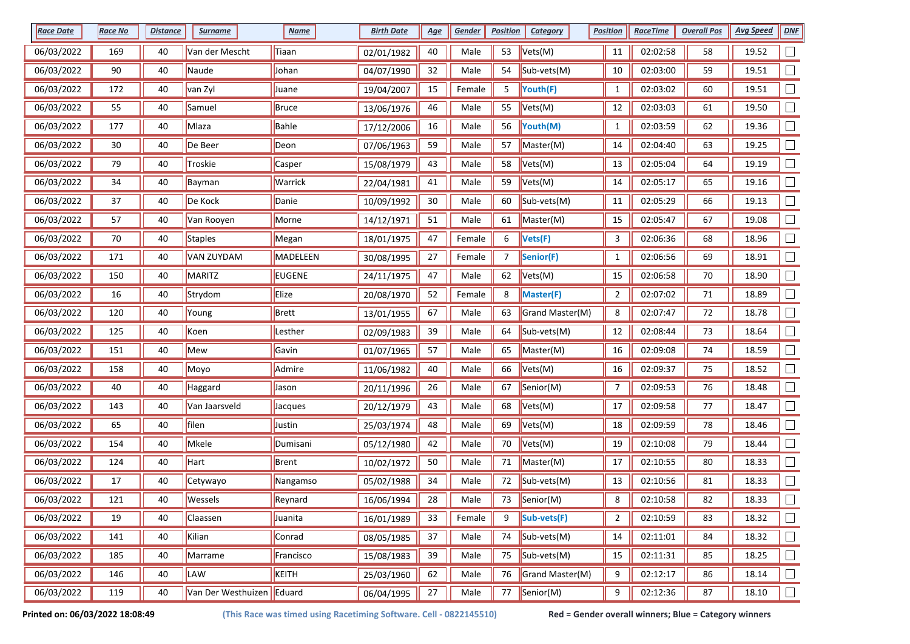| <b>Race Date</b> | Race No | <b>Distance</b> | <b>Surname</b>              | <b>Name</b>   | <b>Birth Date</b> | <u>Age</u> | Gender | <b>Position</b> | <b>Category</b>               | <b>Position</b> | <b>RaceTime</b> | <b>Overall Pos</b> | <b>Avg Speed</b> | DNF    |
|------------------|---------|-----------------|-----------------------------|---------------|-------------------|------------|--------|-----------------|-------------------------------|-----------------|-----------------|--------------------|------------------|--------|
| 06/03/2022       | 169     | 40              | Van der Mescht              | Tiaan         | 02/01/1982        | 40         | Male   | 53              | Vets(M)                       | 11              | 02:02:58        | 58                 | 19.52            |        |
| 06/03/2022       | 90      | 40              | Naude                       | Johan         | 04/07/1990        | 32         | Male   | 54              | $\vert$ Sub-vets(M)           | 10              | 02:03:00        | 59                 | 19.51            |        |
| 06/03/2022       | 172     | 40              | van Zyl                     | Juane         | 19/04/2007        | 15         | Female | 5               | Youth(F)                      | $\mathbf{1}$    | 02:03:02        | 60                 | 19.51            |        |
| 06/03/2022       | 55      | 40              | Samuel                      | Bruce         | 13/06/1976        | 46         | Male   | 55              | Vets(M)                       | 12              | 02:03:03        | 61                 | 19.50            |        |
| 06/03/2022       | 177     | 40              | Mlaza                       | Bahle         | 17/12/2006        | 16         | Male   | 56              | Youth(M)                      | $\mathbf{1}$    | 02:03:59        | 62                 | 19.36            |        |
| 06/03/2022       | 30      | 40              | De Beer                     | Deon          | 07/06/1963        | 59         | Male   | 57              | Master(M)                     | 14              | 02:04:40        | 63                 | 19.25            |        |
| 06/03/2022       | 79      | 40              | Troskie                     | Casper        | 15/08/1979        | 43         | Male   | 58              | Vets(M)                       | 13              | 02:05:04        | 64                 | 19.19            |        |
| 06/03/2022       | 34      | 40              | Bayman                      | Warrick       | 22/04/1981        | 41         | Male   | 59              | Vets(M)                       | 14              | 02:05:17        | 65                 | 19.16            |        |
| 06/03/2022       | 37      | 40              | De Kock                     | Danie         | 10/09/1992        | 30         | Male   | 60              | $\vert$ Sub-vets(M)           | 11              | 02:05:29        | 66                 | 19.13            |        |
| 06/03/2022       | 57      | 40              | Van Rooyen                  | Morne         | 14/12/1971        | 51         | Male   | 61              | Master(M)                     | 15              | 02:05:47        | 67                 | 19.08            |        |
| 06/03/2022       | 70      | 40              | Staples                     | Megan         | 18/01/1975        | 47         | Female | 6               | Vets(F)                       | 3               | 02:06:36        | 68                 | 18.96            |        |
| 06/03/2022       | 171     | 40              | <b>VAN ZUYDAM</b>           | MADELEEN      | 30/08/1995        | 27         | Female | 7               | Senior(F)                     | 1               | 02:06:56        | 69                 | 18.91            |        |
| 06/03/2022       | 150     | 40              | MARITZ                      | <b>EUGENE</b> | 24/11/1975        | 47         | Male   | 62              | $\blacktriangleright$ Vets(M) | 15              | 02:06:58        | 70                 | 18.90            |        |
| 06/03/2022       | 16      | 40              | Strydom                     | Elize         | 20/08/1970        | 52         | Female | 8               | Master(F)                     | $\overline{2}$  | 02:07:02        | 71                 | 18.89            |        |
| 06/03/2022       | 120     | 40              | Young                       | Brett         | 13/01/1955        | 67         | Male   | 63              | Grand Master(M)               | 8               | 02:07:47        | 72                 | 18.78            |        |
| 06/03/2022       | 125     | 40              | Koen                        | Lesther       | 02/09/1983        | 39         | Male   | 64              | Sub-vets(M)                   | 12              | 02:08:44        | 73                 | 18.64            |        |
| 06/03/2022       | 151     | 40              | Mew                         | Gavin         | 01/07/1965        | 57         | Male   | 65              | Master(M)                     | 16              | 02:09:08        | 74                 | 18.59            |        |
| 06/03/2022       | 158     | 40              | Moyo                        | Admire        | 11/06/1982        | 40         | Male   | 66              | Vets(M)                       | 16              | 02:09:37        | 75                 | 18.52            |        |
| 06/03/2022       | 40      | 40              | Haggard                     | Jason         | 20/11/1996        | 26         | Male   | 67              | Senior(M)                     | 7               | 02:09:53        | 76                 | 18.48            |        |
| 06/03/2022       | 143     | 40              | Van Jaarsveld               | Jacques       | 20/12/1979        | 43         | Male   | 68              | Vets(M)                       | 17              | 02:09:58        | 77                 | 18.47            |        |
| 06/03/2022       | 65      | 40              | filen                       | Justin        | 25/03/1974        | 48         | Male   | 69              | Vets(M)                       | 18              | 02:09:59        | 78                 | 18.46            |        |
| 06/03/2022       | 154     | 40              | Mkele                       | Dumisani      | 05/12/1980        | 42         | Male   | 70              | Vets(M)                       | 19              | 02:10:08        | 79                 | 18.44            | $\Box$ |
| 06/03/2022       | 124     | 40              | Hart                        | Brent         | 10/02/1972        | 50         | Male   | 71              | Master(M)                     | 17              | 02:10:55        | 80                 | 18.33            |        |
| 06/03/2022       | 17      | 40              | Cetywayo                    | Nangamso      | 05/02/1988        | 34         | Male   | 72              | Sub-vets(M)                   | 13              | 02:10:56        | 81                 | 18.33            |        |
| 06/03/2022       | 121     | 40              | Wessels                     | Reynard       | 16/06/1994        | 28         | Male   | 73              | Senior(M)                     | 8               | 02:10:58        | 82                 | 18.33            |        |
| 06/03/2022       | 19      | 40              | Claassen                    | Juanita       | 16/01/1989        | 33         | Female | 9               | Sub-vets(F)                   | $\overline{2}$  | 02:10:59        | 83                 | 18.32            | $\Box$ |
| 06/03/2022       | 141     | 40              | Kilian                      | Conrad        | 08/05/1985        | 37         | Male   | 74              | $\vert$ Sub-vets(M)           | 14              | 02:11:01        | 84                 | 18.32            | $\Box$ |
| 06/03/2022       | 185     | 40              | Marrame                     | Francisco     | 15/08/1983        | 39         | Male   | 75              | $\vert$ Sub-vets(M)           | 15              | 02:11:31        | 85                 | 18.25            | $\Box$ |
| 06/03/2022       | 146     | 40              | LAW                         | KEITH         | 25/03/1960        | 62         | Male   | 76              | Grand Master(M)               | 9               | 02:12:17        | 86                 | 18.14            | $\Box$ |
| 06/03/2022       | 119     | 40              | Van Der Westhuizen   Eduard |               | 06/04/1995        | 27         | Male   | 77              | $S$ enior(M)                  | 9               | 02:12:36        | 87                 | 18.10            | $\Box$ |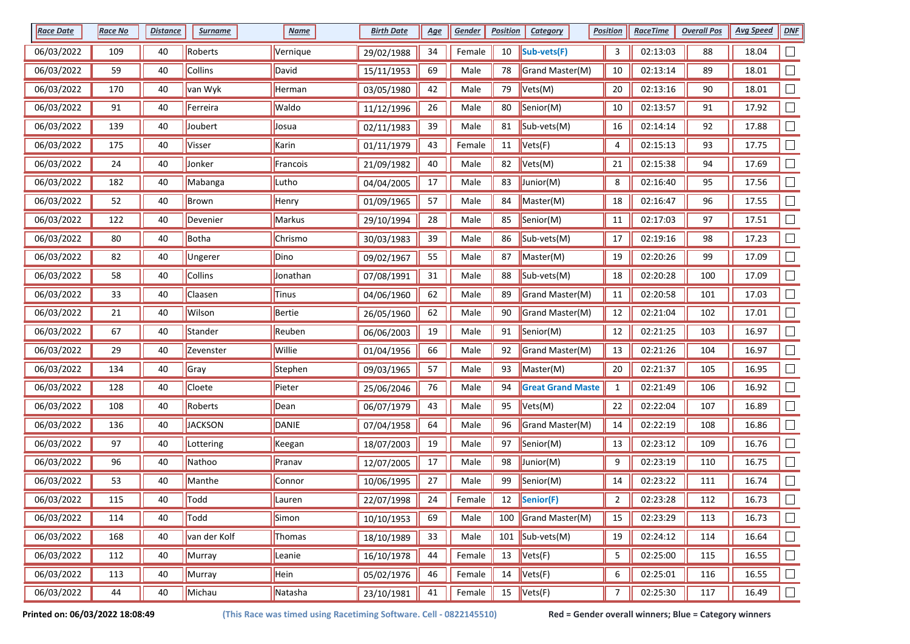| <b>Race Date</b> | <b>Race No</b> | <b>Distance</b> | <b>Surname</b> | <b>Name</b>    | <b>Birth Date</b> | <u>Age</u> | Gender | <b>Position</b> | <b>Category</b>               | <b>Position</b>  | <b>RaceTime</b> | <b>Overall Pos</b> | <b>Avg Speed</b> | DNF                         |
|------------------|----------------|-----------------|----------------|----------------|-------------------|------------|--------|-----------------|-------------------------------|------------------|-----------------|--------------------|------------------|-----------------------------|
| 06/03/2022       | 109            | 40              | Roberts        | Vernique       | 29/02/1988        | 34         | Female | 10              | Sub-vets(F)                   | 3                | 02:13:03        | 88                 | 18.04            |                             |
| 06/03/2022       | 59             | 40              | Collins        | David          | 15/11/1953        | 69         | Male   | 78              | Grand Master(M)               | 10               | 02:13:14        | 89                 | 18.01            |                             |
| 06/03/2022       | 170            | 40              | van Wyk        | Herman         | 03/05/1980        | 42         | Male   | 79              | Vets(M)                       | 20               | 02:13:16        | 90                 | 18.01            |                             |
| 06/03/2022       | 91             | 40              | Ferreira       | Waldo          | 11/12/1996        | 26         | Male   | 80              | Senior(M)                     | 10               | 02:13:57        | 91                 | 17.92            |                             |
| 06/03/2022       | 139            | 40              | Joubert        | Josua          | 02/11/1983        | 39         | Male   | 81              | $\vert$ Sub-vets(M)           | 16               | 02:14:14        | 92                 | 17.88            |                             |
| 06/03/2022       | 175            | 40              | Visser         | Karin          | 01/11/1979        | 43         | Female | 11              | $\blacktriangleright$ Vets(F) | 4                | 02:15:13        | 93                 | 17.75            | $\Box$                      |
| 06/03/2022       | 24             | 40              | Jonker         | Francois       | 21/09/1982        | 40         | Male   | 82              | Vets(M)                       | 21               | 02:15:38        | 94                 | 17.69            |                             |
| 06/03/2022       | 182            | 40              | Mabanga        | Lutho          | 04/04/2005        | 17         | Male   | 83              | Junior(M)                     | 8                | 02:16:40        | 95                 | 17.56            |                             |
| 06/03/2022       | 52             | 40              | Brown          | Henry          | 01/09/1965        | 57         | Male   | 84              | Master(M)                     | 18               | 02:16:47        | 96                 | 17.55            |                             |
| 06/03/2022       | 122            | 40              | Devenier       | Markus         | 29/10/1994        | 28         | Male   | 85              | Senior(M)                     | 11               | 02:17:03        | 97                 | 17.51            |                             |
| 06/03/2022       | 80             | 40              | Botha          | <b>Chrismo</b> | 30/03/1983        | 39         | Male   | 86              | $\vert$ Sub-vets(M)           | 17               | 02:19:16        | 98                 | 17.23            |                             |
| 06/03/2022       | 82             | 40              | Ungerer        | Dino           | 09/02/1967        | 55         | Male   | 87              | Master(M)                     | 19               | 02:20:26        | 99                 | 17.09            |                             |
| 06/03/2022       | 58             | 40              | Collins        | Jonathan       | 07/08/1991        | 31         | Male   | 88              | $\vert$ Sub-vets(M)           | 18               | 02:20:28        | 100                | 17.09            |                             |
| 06/03/2022       | 33             | 40              | Claasen        | Tinus          | 04/06/1960        | 62         | Male   | 89              | Grand Master(M)               | 11               | 02:20:58        | 101                | 17.03            | Г                           |
| 06/03/2022       | 21             | 40              | Wilson         | Bertie         | 26/05/1960        | 62         | Male   | 90              | Grand Master(M)               | 12               | 02:21:04        | 102                | 17.01            |                             |
| 06/03/2022       | 67             | 40              | Stander        | Reuben         | 06/06/2003        | 19         | Male   | 91              | Senior(M)                     | 12               | 02:21:25        | 103                | 16.97            |                             |
| 06/03/2022       | 29             | 40              | Zevenster      | Willie         | 01/04/1956        | 66         | Male   | 92              | Grand Master(M)               | 13               | 02:21:26        | 104                | 16.97            |                             |
| 06/03/2022       | 134            | 40              | Gray           | Stephen        | 09/03/1965        | 57         | Male   | 93              | Master(M)                     | 20               | 02:21:37        | 105                | 16.95            |                             |
| 06/03/2022       | 128            | 40              | Cloete         | Pieter         | 25/06/2046        | 76         | Male   | 94              | <b>Great Grand Maste</b>      | $\mathbf{1}$     | 02:21:49        | 106                | 16.92            |                             |
| 06/03/2022       | 108            | 40              | Roberts        | Dean           | 06/07/1979        | 43         | Male   | 95              | Vets(M)                       | 22               | 02:22:04        | 107                | 16.89            |                             |
| 06/03/2022       | 136            | 40              | <b>JACKSON</b> | DANIE          | 07/04/1958        | 64         | Male   | 96              | Grand Master(M)               | 14               | 02:22:19        | 108                | 16.86            |                             |
| 06/03/2022       | 97             | 40              | Lottering      | Keegan         | 18/07/2003        | 19         | Male   | 97              | Senior(M)                     | 13               | 02:23:12        | 109                | 16.76            |                             |
| 06/03/2022       | 96             | 40              | Nathoo         | Pranav         | 12/07/2005        | 17         | Male   | 98              | $\vert$ Junior(M)             | 9                | 02:23:19        | 110                | 16.75            |                             |
| 06/03/2022       | 53             | 40              | Manthe         | Connor         | 10/06/1995        | 27         | Male   | 99              | Senior(M)                     | 14               | 02:23:22        | 111                | 16.74            |                             |
| 06/03/2022       | 115            | 40              | Todd           | Lauren         | 22/07/1998        | 24         | Female | 12              | Senior(F)                     | $\overline{2}$   | 02:23:28        | 112                | 16.73            |                             |
| 06/03/2022       | 114            | 40              | Todd           | Simon          | 10/10/1953        | 69         | Male   | 100             | Grand Master(M)               | 15               | 02:23:29        | 113                | 16.73            | $\Box$                      |
| 06/03/2022       | 168            | 40              | van der Kolf   | Thomas         | 18/10/1989        | 33         | Male   |                 | 101 $\vert$ Sub-vets(M)       | 19               | 02:24:12        | 114                | 16.64            | $\mathcal{L}_{\mathcal{A}}$ |
| 06/03/2022       | 112            | 40              | Murray         | Leanie         | 16/10/1978        | 44         | Female | 13              | Vets(F)                       | 5                | 02:25:00        | 115                | 16.55            | $\Box$                      |
| 06/03/2022       | 113            | 40              | Murray         | Hein           | 05/02/1976        | 46         | Female | 14              | Vets(F)                       | 6                | 02:25:01        | 116                | 16.55            |                             |
| 06/03/2022       | 44             | 40              | Michau         | Natasha        | 23/10/1981        | 41         | Female | 15              | Vets(F)                       | $\boldsymbol{7}$ | 02:25:30        | 117                | 16.49            | $\overline{\phantom{a}}$    |